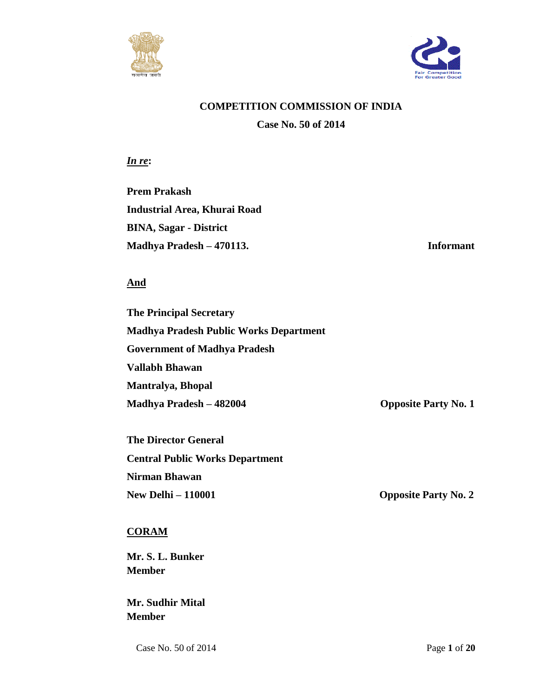



## **COMPETITION COMMISSION OF INDIA**

**Case No. 50 of 2014**

*In re***:**

**Prem Prakash Industrial Area, Khurai Road BINA, Sagar - District Madhya Pradesh – 470113. Informant** 

## **And**

**The Principal Secretary Madhya Pradesh Public Works Department Government of Madhya Pradesh Vallabh Bhawan Mantralya, Bhopal Madhya Pradesh – 482004 Opposite Party No. 1**

**The Director General Central Public Works Department Nirman Bhawan New Delhi – 110001 Opposite Party No. 2**

## **CORAM**

**Mr. S. L. Bunker Member**

**Mr. Sudhir Mital Member**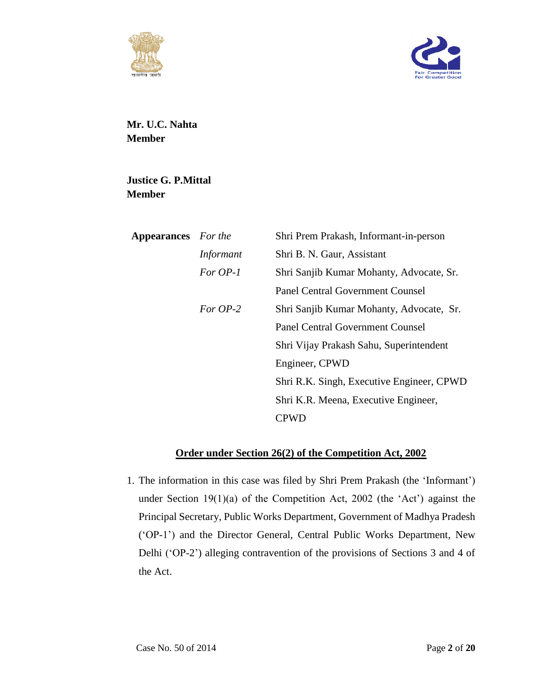



**Mr. U.C. Nahta Member**

**Justice G. P.Mittal Member**

| <b>Appearances</b> For the |                  | Shri Prem Prakash, Informant-in-person    |
|----------------------------|------------------|-------------------------------------------|
|                            | <i>Informant</i> | Shri B. N. Gaur, Assistant                |
|                            | For OP-1         | Shri Sanjib Kumar Mohanty, Advocate, Sr.  |
|                            |                  | <b>Panel Central Government Counsel</b>   |
|                            | For $OP-2$       | Shri Sanjib Kumar Mohanty, Advocate, Sr.  |
|                            |                  | <b>Panel Central Government Counsel</b>   |
|                            |                  | Shri Vijay Prakash Sahu, Superintendent   |
|                            |                  | Engineer, CPWD                            |
|                            |                  | Shri R.K. Singh, Executive Engineer, CPWD |
|                            |                  | Shri K.R. Meena, Executive Engineer,      |
|                            |                  | CPWD                                      |
|                            |                  |                                           |

## **Order under Section 26(2) of the Competition Act, 2002**

1. The information in this case was filed by Shri Prem Prakash (the 'Informant') under Section 19(1)(a) of the Competition Act, 2002 (the 'Act') against the Principal Secretary, Public Works Department, Government of Madhya Pradesh ('OP-1') and the Director General, Central Public Works Department, New Delhi ('OP-2') alleging contravention of the provisions of Sections 3 and 4 of the Act.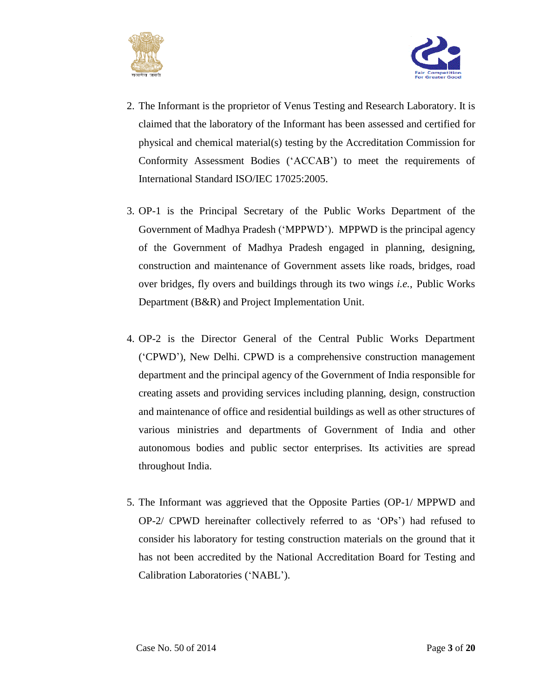



- 2. The Informant is the proprietor of Venus Testing and Research Laboratory. It is claimed that the laboratory of the Informant has been assessed and certified for physical and chemical material(s) testing by the Accreditation Commission for Conformity Assessment Bodies ('ACCAB') to meet the requirements of International Standard ISO/IEC 17025:2005.
- 3. OP-1 is the Principal Secretary of the Public Works Department of the Government of Madhya Pradesh ('MPPWD'). MPPWD is the principal agency of the Government of Madhya Pradesh engaged in planning, designing, construction and maintenance of Government assets like roads, bridges, road over bridges, fly overs and buildings through its two wings *i.e.*, Public Works Department (B&R) and Project Implementation Unit.
- 4. OP-2 is the Director General of the Central Public Works Department ('CPWD'), New Delhi. CPWD is a comprehensive construction management department and the principal agency of the Government of India responsible for creating assets and providing services including planning, design, construction and maintenance of office and residential buildings as well as other structures of various ministries and departments of Government of India and other autonomous bodies and public sector enterprises. Its activities are spread throughout India.
- 5. The Informant was aggrieved that the Opposite Parties (OP-1/ MPPWD and OP-2/ CPWD hereinafter collectively referred to as 'OPs') had refused to consider his laboratory for testing construction materials on the ground that it has not been accredited by the National Accreditation Board for Testing and Calibration Laboratories ('NABL').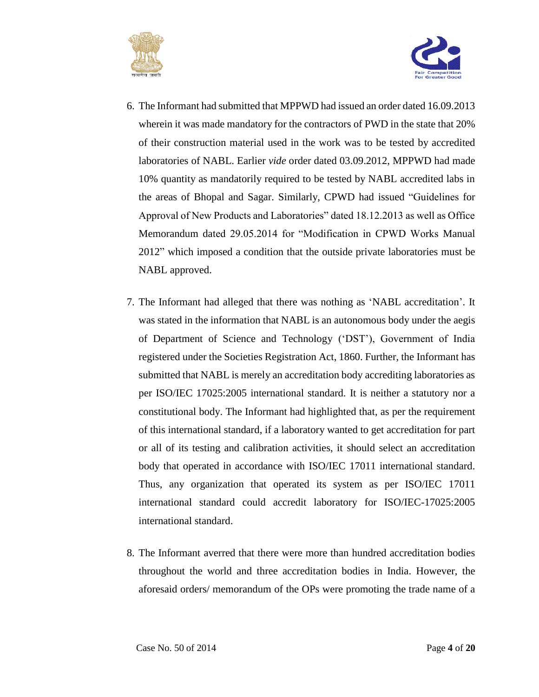



- 6. The Informant had submitted that MPPWD had issued an order dated 16.09.2013 wherein it was made mandatory for the contractors of PWD in the state that 20% of their construction material used in the work was to be tested by accredited laboratories of NABL. Earlier *vide* order dated 03.09.2012, MPPWD had made 10% quantity as mandatorily required to be tested by NABL accredited labs in the areas of Bhopal and Sagar. Similarly, CPWD had issued "Guidelines for Approval of New Products and Laboratories" dated 18.12.2013 as well as Office Memorandum dated 29.05.2014 for "Modification in CPWD Works Manual 2012" which imposed a condition that the outside private laboratories must be NABL approved.
- 7. The Informant had alleged that there was nothing as 'NABL accreditation'. It was stated in the information that NABL is an autonomous body under the aegis of Department of Science and Technology ('DST'), Government of India registered under the Societies Registration Act, 1860. Further, the Informant has submitted that NABL is merely an accreditation body accrediting laboratories as per ISO/IEC 17025:2005 international standard. It is neither a statutory nor a constitutional body. The Informant had highlighted that, as per the requirement of this international standard, if a laboratory wanted to get accreditation for part or all of its testing and calibration activities, it should select an accreditation body that operated in accordance with ISO/IEC 17011 international standard. Thus, any organization that operated its system as per ISO/IEC 17011 international standard could accredit laboratory for ISO/IEC-17025:2005 international standard.
- 8. The Informant averred that there were more than hundred accreditation bodies throughout the world and three accreditation bodies in India. However, the aforesaid orders/ memorandum of the OPs were promoting the trade name of a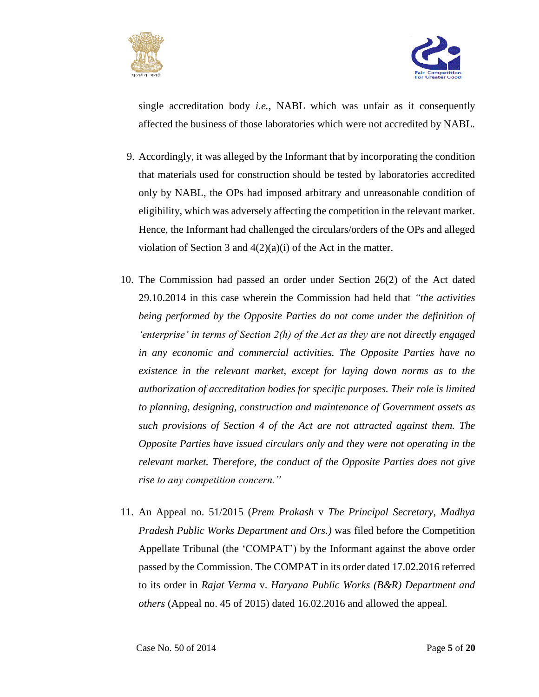



single accreditation body *i.e.*, NABL which was unfair as it consequently affected the business of those laboratories which were not accredited by NABL.

- 9. Accordingly, it was alleged by the Informant that by incorporating the condition that materials used for construction should be tested by laboratories accredited only by NABL, the OPs had imposed arbitrary and unreasonable condition of eligibility, which was adversely affecting the competition in the relevant market. Hence, the Informant had challenged the circulars/orders of the OPs and alleged violation of Section 3 and 4(2)(a)(i) of the Act in the matter.
- 10. The Commission had passed an order under Section 26(2) of the Act dated 29.10.2014 in this case wherein the Commission had held that *"the activities being performed by the Opposite Parties do not come under the definition of 'enterprise' in terms of Section 2(h) of the Act as they are not directly engaged in any economic and commercial activities. The Opposite Parties have no existence in the relevant market, except for laying down norms as to the authorization of accreditation bodies for specific purposes. Their role is limited to planning, designing, construction and maintenance of Government assets as such provisions of Section 4 of the Act are not attracted against them. The Opposite Parties have issued circulars only and they were not operating in the relevant market. Therefore, the conduct of the Opposite Parties does not give rise to any competition concern."*
- 11. An Appeal no. 51/2015 (*Prem Prakash* v *The Principal Secretary*, *Madhya Pradesh Public Works Department and Ors.)* was filed before the Competition Appellate Tribunal (the 'COMPAT') by the Informant against the above order passed by the Commission. The COMPAT in its order dated 17.02.2016 referred to its order in *Rajat Verma* v. *Haryana Public Works (B&R) Department and others* (Appeal no. 45 of 2015) dated 16.02.2016 and allowed the appeal.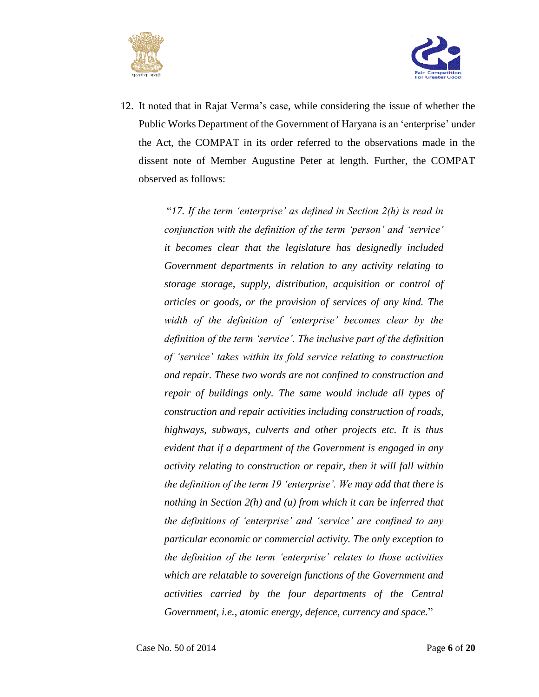



12. It noted that in Rajat Verma's case, while considering the issue of whether the Public Works Department of the Government of Haryana is an 'enterprise' under the Act, the COMPAT in its order referred to the observations made in the dissent note of Member Augustine Peter at length. Further, the COMPAT observed as follows:

> "*17. If the term 'enterprise' as defined in Section 2(h) is read in conjunction with the definition of the term 'person' and 'service' it becomes clear that the legislature has designedly included Government departments in relation to any activity relating to storage storage, supply, distribution, acquisition or control of articles or goods, or the provision of services of any kind. The width of the definition of 'enterprise' becomes clear by the definition of the term 'service'. The inclusive part of the definition of 'service' takes within its fold service relating to construction and repair. These two words are not confined to construction and repair of buildings only. The same would include all types of construction and repair activities including construction of roads, highways, subways, culverts and other projects etc. It is thus evident that if a department of the Government is engaged in any activity relating to construction or repair, then it will fall within the definition of the term 19 'enterprise'. We may add that there is nothing in Section 2(h) and (u) from which it can be inferred that the definitions of 'enterprise' and 'service' are confined to any particular economic or commercial activity. The only exception to the definition of the term 'enterprise' relates to those activities which are relatable to sovereign functions of the Government and activities carried by the four departments of the Central Government, i.e., atomic energy, defence, currency and space.*"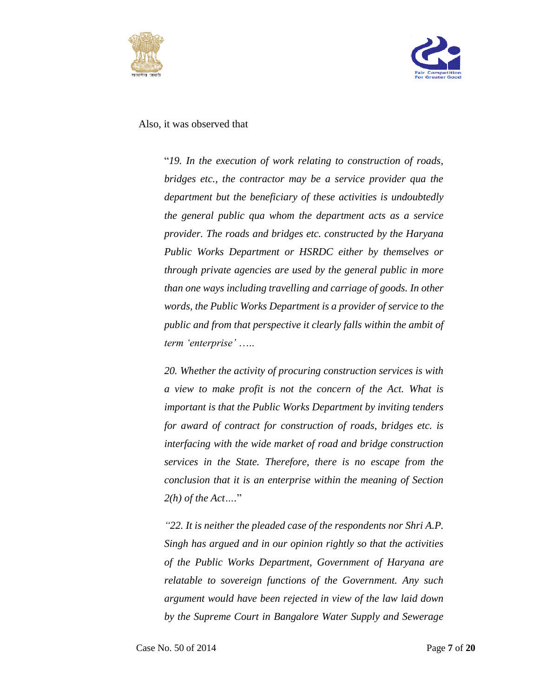



Also, it was observed that

"*19. In the execution of work relating to construction of roads, bridges etc., the contractor may be a service provider qua the department but the beneficiary of these activities is undoubtedly the general public qua whom the department acts as a service provider. The roads and bridges etc. constructed by the Haryana Public Works Department or HSRDC either by themselves or through private agencies are used by the general public in more than one ways including travelling and carriage of goods. In other words, the Public Works Department is a provider of service to the public and from that perspective it clearly falls within the ambit of term 'enterprise'* …..

*20. Whether the activity of procuring construction services is with a view to make profit is not the concern of the Act. What is important is that the Public Works Department by inviting tenders for award of contract for construction of roads, bridges etc. is interfacing with the wide market of road and bridge construction services in the State. Therefore, there is no escape from the conclusion that it is an enterprise within the meaning of Section 2(h) of the Act….*"

*"22. It is neither the pleaded case of the respondents nor Shri A.P. Singh has argued and in our opinion rightly so that the activities of the Public Works Department, Government of Haryana are relatable to sovereign functions of the Government. Any such argument would have been rejected in view of the law laid down by the Supreme Court in Bangalore Water Supply and Sewerage*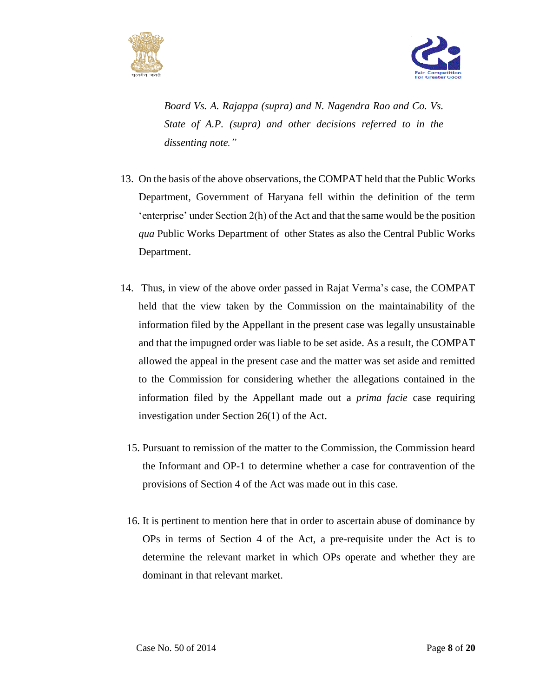



*Board Vs. A. Rajappa (supra) and N. Nagendra Rao and Co. Vs. State of A.P. (supra) and other decisions referred to in the dissenting note."*

- 13. On the basis of the above observations, the COMPAT held that the Public Works Department, Government of Haryana fell within the definition of the term 'enterprise' under Section 2(h) of the Act and that the same would be the position *qua* Public Works Department of other States as also the Central Public Works Department.
- 14. Thus, in view of the above order passed in Rajat Verma's case, the COMPAT held that the view taken by the Commission on the maintainability of the information filed by the Appellant in the present case was legally unsustainable and that the impugned order was liable to be set aside. As a result, the COMPAT allowed the appeal in the present case and the matter was set aside and remitted to the Commission for considering whether the allegations contained in the information filed by the Appellant made out a *prima facie* case requiring investigation under Section 26(1) of the Act.
	- 15. Pursuant to remission of the matter to the Commission, the Commission heard the Informant and OP-1 to determine whether a case for contravention of the provisions of Section 4 of the Act was made out in this case.
	- 16. It is pertinent to mention here that in order to ascertain abuse of dominance by OPs in terms of Section 4 of the Act, a pre-requisite under the Act is to determine the relevant market in which OPs operate and whether they are dominant in that relevant market.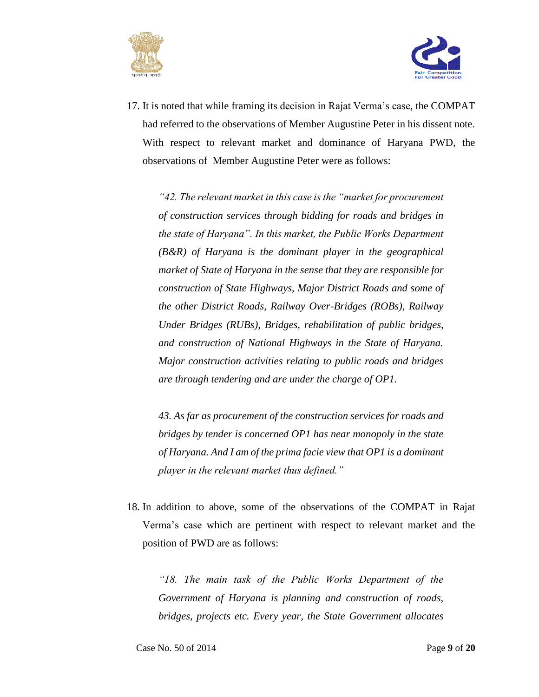



17. It is noted that while framing its decision in Rajat Verma's case, the COMPAT had referred to the observations of Member Augustine Peter in his dissent note. With respect to relevant market and dominance of Haryana PWD, the observations of Member Augustine Peter were as follows:

*"42. The relevant market in this case is the "market for procurement of construction services through bidding for roads and bridges in the state of Haryana". In this market, the Public Works Department (B&R) of Haryana is the dominant player in the geographical market of State of Haryana in the sense that they are responsible for construction of State Highways, Major District Roads and some of the other District Roads, Railway Over-Bridges (ROBs), Railway Under Bridges (RUBs), Bridges, rehabilitation of public bridges, and construction of National Highways in the State of Haryana. Major construction activities relating to public roads and bridges are through tendering and are under the charge of OP1.*

*43. As far as procurement of the construction services for roads and bridges by tender is concerned OP1 has near monopoly in the state of Haryana. And I am of the prima facie view that OP1 is a dominant player in the relevant market thus defined."*

18. In addition to above, some of the observations of the COMPAT in Rajat Verma's case which are pertinent with respect to relevant market and the position of PWD are as follows:

*"18. The main task of the Public Works Department of the Government of Haryana is planning and construction of roads, bridges, projects etc. Every year, the State Government allocates*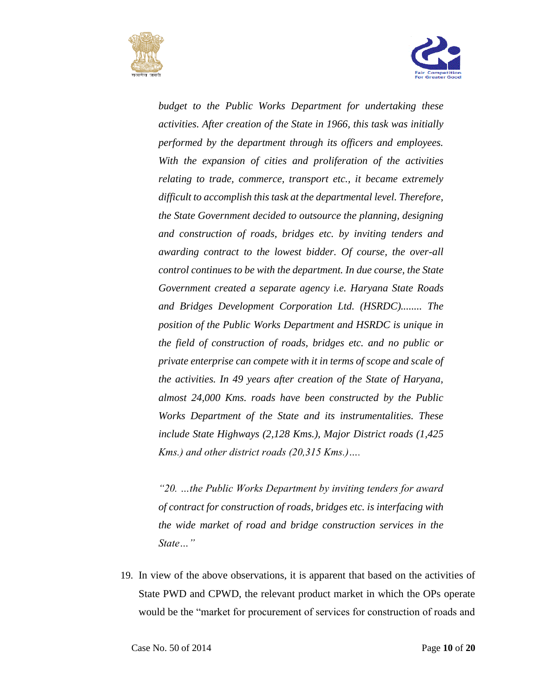



*budget to the Public Works Department for undertaking these activities. After creation of the State in 1966, this task was initially performed by the department through its officers and employees. With the expansion of cities and proliferation of the activities relating to trade, commerce, transport etc., it became extremely difficult to accomplish this task at the departmental level. Therefore, the State Government decided to outsource the planning, designing and construction of roads, bridges etc. by inviting tenders and awarding contract to the lowest bidder. Of course, the over-all control continues to be with the department. In due course, the State Government created a separate agency i.e. Haryana State Roads and Bridges Development Corporation Ltd. (HSRDC)........ The position of the Public Works Department and HSRDC is unique in the field of construction of roads, bridges etc. and no public or private enterprise can compete with it in terms of scope and scale of the activities. In 49 years after creation of the State of Haryana, almost 24,000 Kms. roads have been constructed by the Public Works Department of the State and its instrumentalities. These include State Highways (2,128 Kms.), Major District roads (1,425 Kms.) and other district roads (20,315 Kms.)….*

*"20. …the Public Works Department by inviting tenders for award of contract for construction of roads, bridges etc. is interfacing with the wide market of road and bridge construction services in the State…"*

19. In view of the above observations, it is apparent that based on the activities of State PWD and CPWD, the relevant product market in which the OPs operate would be the "market for procurement of services for construction of roads and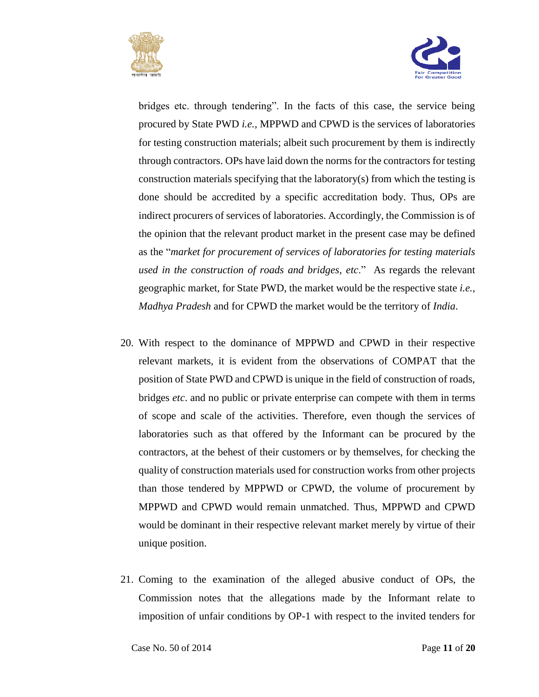



bridges etc. through tendering". In the facts of this case, the service being procured by State PWD *i.e.*, MPPWD and CPWD is the services of laboratories for testing construction materials; albeit such procurement by them is indirectly through contractors. OPs have laid down the norms for the contractors for testing construction materials specifying that the laboratory(s) from which the testing is done should be accredited by a specific accreditation body. Thus, OPs are indirect procurers of services of laboratories. Accordingly, the Commission is of the opinion that the relevant product market in the present case may be defined as the "*market for procurement of services of laboratories for testing materials used in the construction of roads and bridges, etc*." As regards the relevant geographic market, for State PWD, the market would be the respective state *i.e.*, *Madhya Pradesh* and for CPWD the market would be the territory of *India*.

- 20. With respect to the dominance of MPPWD and CPWD in their respective relevant markets, it is evident from the observations of COMPAT that the position of State PWD and CPWD is unique in the field of construction of roads, bridges *etc*. and no public or private enterprise can compete with them in terms of scope and scale of the activities. Therefore, even though the services of laboratories such as that offered by the Informant can be procured by the contractors, at the behest of their customers or by themselves, for checking the quality of construction materials used for construction works from other projects than those tendered by MPPWD or CPWD, the volume of procurement by MPPWD and CPWD would remain unmatched. Thus, MPPWD and CPWD would be dominant in their respective relevant market merely by virtue of their unique position.
- 21. Coming to the examination of the alleged abusive conduct of OPs, the Commission notes that the allegations made by the Informant relate to imposition of unfair conditions by OP-1 with respect to the invited tenders for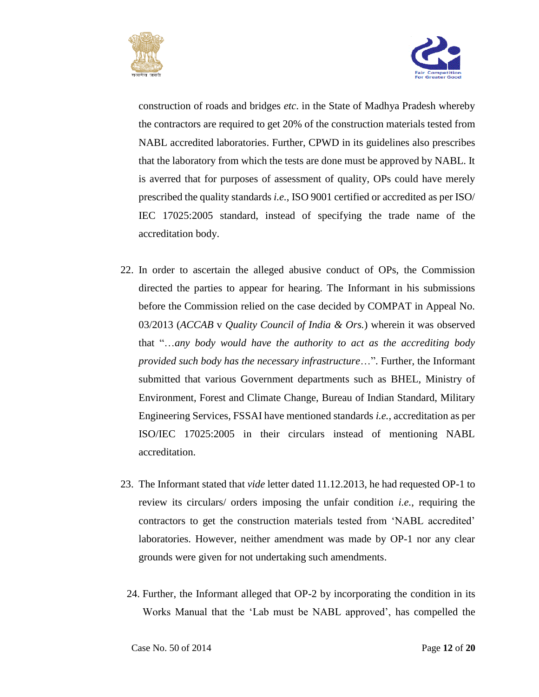



construction of roads and bridges *etc*. in the State of Madhya Pradesh whereby the contractors are required to get 20% of the construction materials tested from NABL accredited laboratories. Further, CPWD in its guidelines also prescribes that the laboratory from which the tests are done must be approved by NABL. It is averred that for purposes of assessment of quality, OPs could have merely prescribed the quality standards *i.e.*, ISO 9001 certified or accredited as per ISO/ IEC 17025:2005 standard, instead of specifying the trade name of the accreditation body.

- 22. In order to ascertain the alleged abusive conduct of OPs, the Commission directed the parties to appear for hearing. The Informant in his submissions before the Commission relied on the case decided by COMPAT in Appeal No. 03/2013 (*ACCAB* v *Quality Council of India & Ors.*) wherein it was observed that "…*any body would have the authority to act as the accrediting body provided such body has the necessary infrastructure*…". Further, the Informant submitted that various Government departments such as BHEL, Ministry of Environment, Forest and Climate Change, Bureau of Indian Standard, Military Engineering Services, FSSAI have mentioned standards *i.e.*, accreditation as per ISO/IEC 17025:2005 in their circulars instead of mentioning NABL accreditation.
- 23. The Informant stated that *vide* letter dated 11.12.2013, he had requested OP-1 to review its circulars/ orders imposing the unfair condition *i.e.*, requiring the contractors to get the construction materials tested from 'NABL accredited' laboratories. However, neither amendment was made by OP-1 nor any clear grounds were given for not undertaking such amendments.
	- 24. Further, the Informant alleged that OP-2 by incorporating the condition in its Works Manual that the 'Lab must be NABL approved', has compelled the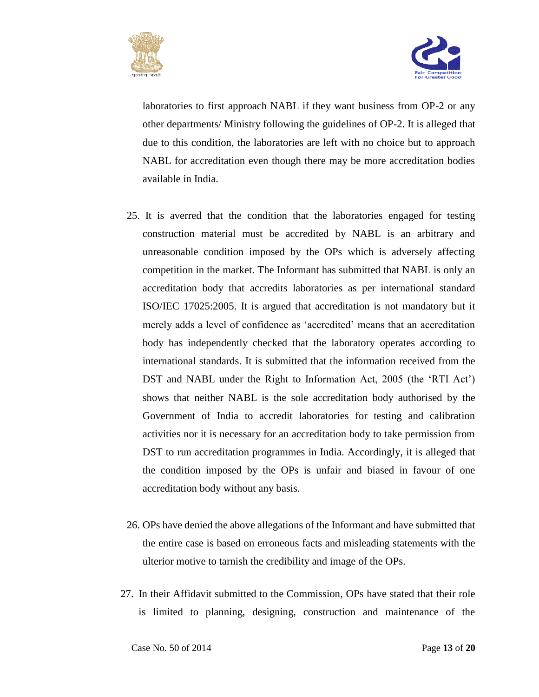



laboratories to first approach NABL if they want business from OP-2 or any other departments/ Ministry following the guidelines of OP-2. It is alleged that due to this condition, the laboratories are left with no choice but to approach NABL for accreditation even though there may be more accreditation bodies available in India.

- 25. It is averred that the condition that the laboratories engaged for testing construction material must be accredited by NABL is an arbitrary and unreasonable condition imposed by the OPs which is adversely affecting competition in the market. The Informant has submitted that NABL is only an accreditation body that accredits laboratories as per international standard ISO/IEC 17025:2005. It is argued that accreditation is not mandatory but it merely adds a level of confidence as 'accredited' means that an accreditation body has independently checked that the laboratory operates according to international standards. It is submitted that the information received from the DST and NABL under the Right to Information Act, 2005 (the 'RTI Act') shows that neither NABL is the sole accreditation body authorised by the Government of India to accredit laboratories for testing and calibration activities nor it is necessary for an accreditation body to take permission from DST to run accreditation programmes in India. Accordingly, it is alleged that the condition imposed by the OPs is unfair and biased in favour of one accreditation body without any basis.
- 26. OPs have denied the above allegations of the Informant and have submitted that the entire case is based on erroneous facts and misleading statements with the ulterior motive to tarnish the credibility and image of the OPs.
- 27. In their Affidavit submitted to the Commission, OPs have stated that their role is limited to planning, designing, construction and maintenance of the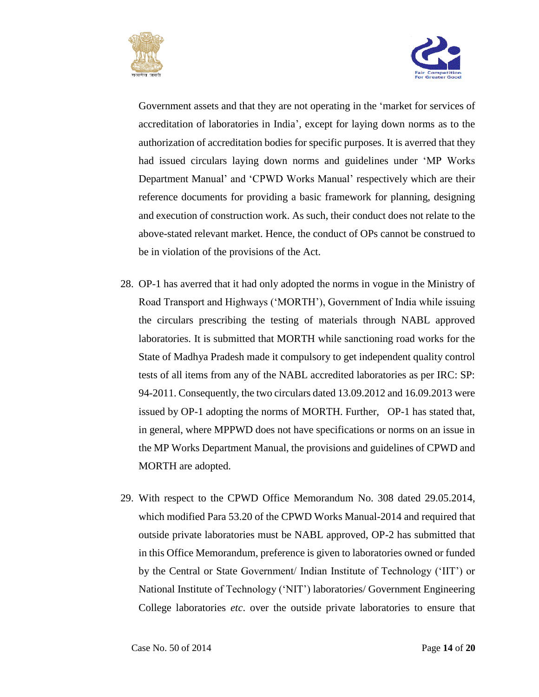



Government assets and that they are not operating in the 'market for services of accreditation of laboratories in India', except for laying down norms as to the authorization of accreditation bodies for specific purposes. It is averred that they had issued circulars laying down norms and guidelines under 'MP Works Department Manual' and 'CPWD Works Manual' respectively which are their reference documents for providing a basic framework for planning, designing and execution of construction work. As such, their conduct does not relate to the above-stated relevant market. Hence, the conduct of OPs cannot be construed to be in violation of the provisions of the Act.

- 28. OP-1 has averred that it had only adopted the norms in vogue in the Ministry of Road Transport and Highways ('MORTH'), Government of India while issuing the circulars prescribing the testing of materials through NABL approved laboratories. It is submitted that MORTH while sanctioning road works for the State of Madhya Pradesh made it compulsory to get independent quality control tests of all items from any of the NABL accredited laboratories as per IRC: SP: 94-2011. Consequently, the two circulars dated 13.09.2012 and 16.09.2013 were issued by OP-1 adopting the norms of MORTH. Further, OP-1 has stated that, in general, where MPPWD does not have specifications or norms on an issue in the MP Works Department Manual, the provisions and guidelines of CPWD and MORTH are adopted.
- 29. With respect to the CPWD Office Memorandum No. 308 dated 29.05.2014, which modified Para 53.20 of the CPWD Works Manual-2014 and required that outside private laboratories must be NABL approved, OP-2 has submitted that in this Office Memorandum, preference is given to laboratories owned or funded by the Central or State Government/ Indian Institute of Technology ('IIT') or National Institute of Technology ('NIT') laboratories/ Government Engineering College laboratories *etc*. over the outside private laboratories to ensure that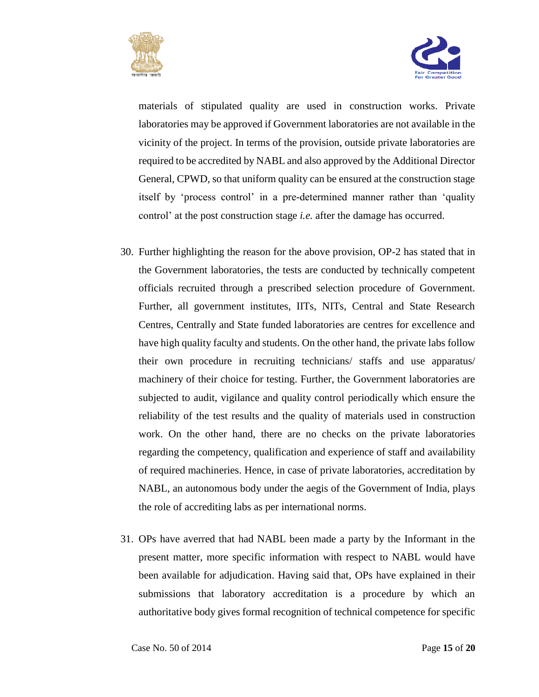



materials of stipulated quality are used in construction works. Private laboratories may be approved if Government laboratories are not available in the vicinity of the project. In terms of the provision, outside private laboratories are required to be accredited by NABL and also approved by the Additional Director General, CPWD, so that uniform quality can be ensured at the construction stage itself by 'process control' in a pre-determined manner rather than 'quality control' at the post construction stage *i.e.* after the damage has occurred.

- 30. Further highlighting the reason for the above provision, OP-2 has stated that in the Government laboratories, the tests are conducted by technically competent officials recruited through a prescribed selection procedure of Government. Further, all government institutes, IITs, NITs, Central and State Research Centres, Centrally and State funded laboratories are centres for excellence and have high quality faculty and students. On the other hand, the private labs follow their own procedure in recruiting technicians/ staffs and use apparatus/ machinery of their choice for testing. Further, the Government laboratories are subjected to audit, vigilance and quality control periodically which ensure the reliability of the test results and the quality of materials used in construction work. On the other hand, there are no checks on the private laboratories regarding the competency, qualification and experience of staff and availability of required machineries. Hence, in case of private laboratories, accreditation by NABL, an autonomous body under the aegis of the Government of India, plays the role of accrediting labs as per international norms.
- 31. OPs have averred that had NABL been made a party by the Informant in the present matter, more specific information with respect to NABL would have been available for adjudication. Having said that, OPs have explained in their submissions that laboratory accreditation is a procedure by which an authoritative body gives formal recognition of technical competence for specific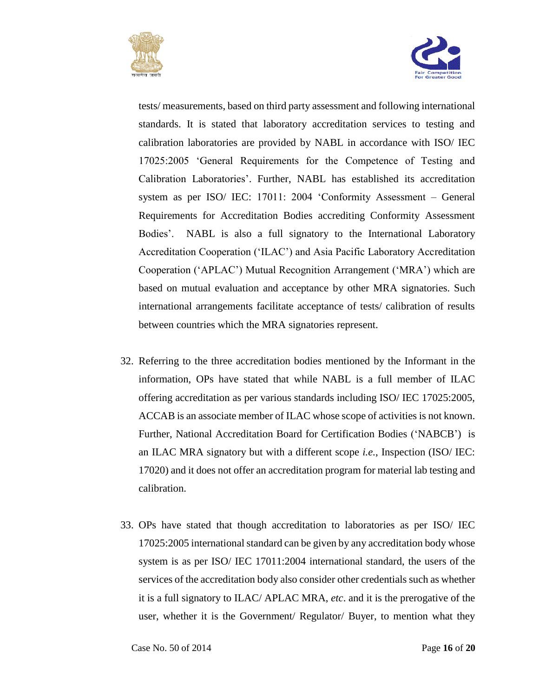



tests/ measurements, based on third party assessment and following international standards. It is stated that laboratory accreditation services to testing and calibration laboratories are provided by NABL in accordance with ISO/ IEC 17025:2005 'General Requirements for the Competence of Testing and Calibration Laboratories'. Further, NABL has established its accreditation system as per ISO/ IEC: 17011: 2004 'Conformity Assessment – General Requirements for Accreditation Bodies accrediting Conformity Assessment Bodies'. NABL is also a full signatory to the International Laboratory Accreditation Cooperation ('ILAC') and Asia Pacific Laboratory Accreditation Cooperation ('APLAC') Mutual Recognition Arrangement ('MRA') which are based on mutual evaluation and acceptance by other MRA signatories. Such international arrangements facilitate acceptance of tests/ calibration of results between countries which the MRA signatories represent.

- 32. Referring to the three accreditation bodies mentioned by the Informant in the information, OPs have stated that while NABL is a full member of ILAC offering accreditation as per various standards including ISO/ IEC 17025:2005, ACCAB is an associate member of ILAC whose scope of activities is not known. Further, National Accreditation Board for Certification Bodies ('NABCB') is an ILAC MRA signatory but with a different scope *i.e.*, Inspection (ISO/ IEC: 17020) and it does not offer an accreditation program for material lab testing and calibration.
- 33. OPs have stated that though accreditation to laboratories as per ISO/ IEC 17025:2005 international standard can be given by any accreditation body whose system is as per ISO/ IEC 17011:2004 international standard, the users of the services of the accreditation body also consider other credentials such as whether it is a full signatory to ILAC/ APLAC MRA, *etc*. and it is the prerogative of the user, whether it is the Government/ Regulator/ Buyer, to mention what they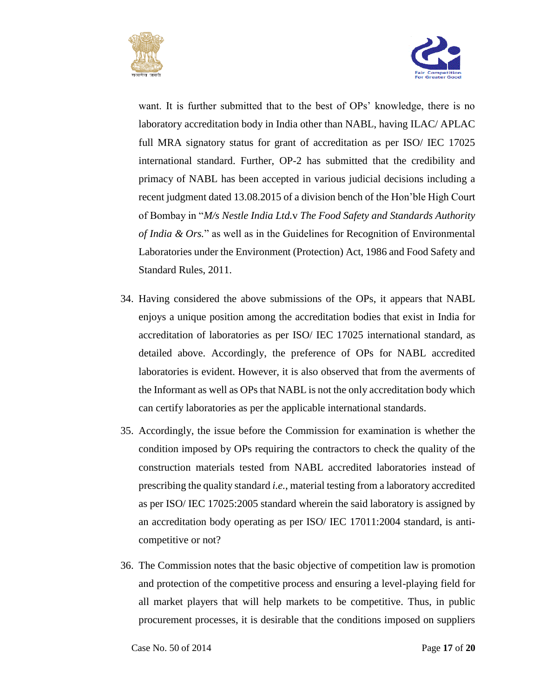



want. It is further submitted that to the best of OPs' knowledge, there is no laboratory accreditation body in India other than NABL, having ILAC/ APLAC full MRA signatory status for grant of accreditation as per ISO/ IEC 17025 international standard. Further, OP-2 has submitted that the credibility and primacy of NABL has been accepted in various judicial decisions including a recent judgment dated 13.08.2015 of a division bench of the Hon'ble High Court of Bombay in "*M/s Nestle India Ltd.*v *The Food Safety and Standards Authority of India & Ors.*" as well as in the Guidelines for Recognition of Environmental Laboratories under the Environment (Protection) Act, 1986 and Food Safety and Standard Rules, 2011.

- 34. Having considered the above submissions of the OPs, it appears that NABL enjoys a unique position among the accreditation bodies that exist in India for accreditation of laboratories as per ISO/ IEC 17025 international standard, as detailed above. Accordingly, the preference of OPs for NABL accredited laboratories is evident. However, it is also observed that from the averments of the Informant as well as OPs that NABL is not the only accreditation body which can certify laboratories as per the applicable international standards.
- 35. Accordingly, the issue before the Commission for examination is whether the condition imposed by OPs requiring the contractors to check the quality of the construction materials tested from NABL accredited laboratories instead of prescribing the quality standard *i.e.*, material testing from a laboratory accredited as per ISO/ IEC 17025:2005 standard wherein the said laboratory is assigned by an accreditation body operating as per ISO/ IEC 17011:2004 standard, is anticompetitive or not?
- 36. The Commission notes that the basic objective of competition law is promotion and protection of the competitive process and ensuring a level-playing field for all market players that will help markets to be competitive. Thus, in public procurement processes, it is desirable that the conditions imposed on suppliers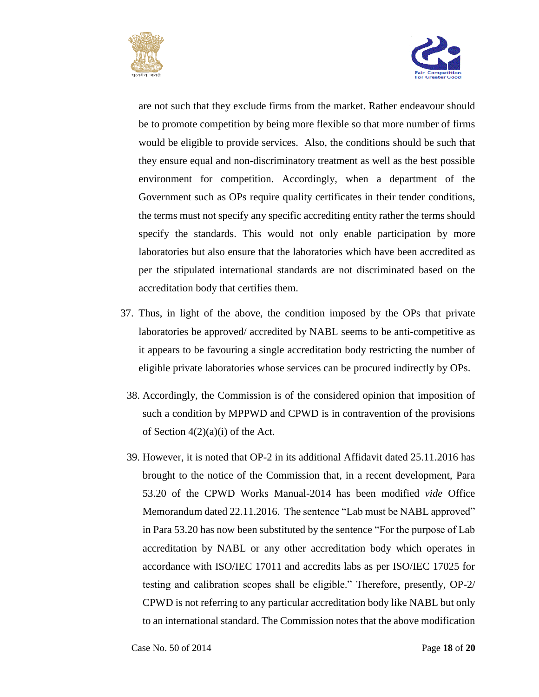



are not such that they exclude firms from the market. Rather endeavour should be to promote competition by being more flexible so that more number of firms would be eligible to provide services. Also, the conditions should be such that they ensure equal and non-discriminatory treatment as well as the best possible environment for competition. Accordingly, when a department of the Government such as OPs require quality certificates in their tender conditions, the terms must not specify any specific accrediting entity rather the terms should specify the standards. This would not only enable participation by more laboratories but also ensure that the laboratories which have been accredited as per the stipulated international standards are not discriminated based on the accreditation body that certifies them.

- 37. Thus, in light of the above, the condition imposed by the OPs that private laboratories be approved/ accredited by NABL seems to be anti-competitive as it appears to be favouring a single accreditation body restricting the number of eligible private laboratories whose services can be procured indirectly by OPs.
	- 38. Accordingly, the Commission is of the considered opinion that imposition of such a condition by MPPWD and CPWD is in contravention of the provisions of Section 4(2)(a)(i) of the Act.
	- 39. However, it is noted that OP-2 in its additional Affidavit dated 25.11.2016 has brought to the notice of the Commission that, in a recent development, Para 53.20 of the CPWD Works Manual-2014 has been modified *vide* Office Memorandum dated 22.11.2016. The sentence "Lab must be NABL approved" in Para 53.20 has now been substituted by the sentence "For the purpose of Lab accreditation by NABL or any other accreditation body which operates in accordance with ISO/IEC 17011 and accredits labs as per ISO/IEC 17025 for testing and calibration scopes shall be eligible." Therefore, presently, OP-2/ CPWD is not referring to any particular accreditation body like NABL but only to an international standard. The Commission notes that the above modification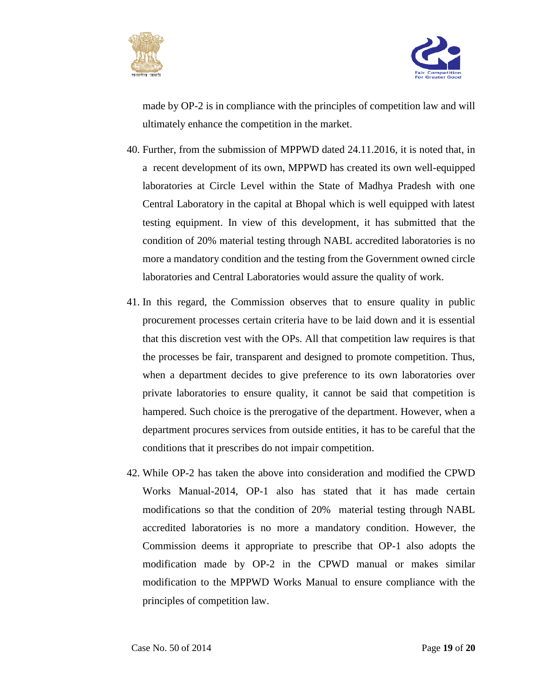



made by OP-2 is in compliance with the principles of competition law and will ultimately enhance the competition in the market.

- 40. Further, from the submission of MPPWD dated 24.11.2016, it is noted that, in a recent development of its own, MPPWD has created its own well-equipped laboratories at Circle Level within the State of Madhya Pradesh with one Central Laboratory in the capital at Bhopal which is well equipped with latest testing equipment. In view of this development, it has submitted that the condition of 20% material testing through NABL accredited laboratories is no more a mandatory condition and the testing from the Government owned circle laboratories and Central Laboratories would assure the quality of work.
- 41. In this regard, the Commission observes that to ensure quality in public procurement processes certain criteria have to be laid down and it is essential that this discretion vest with the OPs. All that competition law requires is that the processes be fair, transparent and designed to promote competition. Thus, when a department decides to give preference to its own laboratories over private laboratories to ensure quality, it cannot be said that competition is hampered. Such choice is the prerogative of the department. However, when a department procures services from outside entities, it has to be careful that the conditions that it prescribes do not impair competition.
- 42. While OP-2 has taken the above into consideration and modified the CPWD Works Manual-2014, OP-1 also has stated that it has made certain modifications so that the condition of 20% material testing through NABL accredited laboratories is no more a mandatory condition. However, the Commission deems it appropriate to prescribe that OP-1 also adopts the modification made by OP-2 in the CPWD manual or makes similar modification to the MPPWD Works Manual to ensure compliance with the principles of competition law.